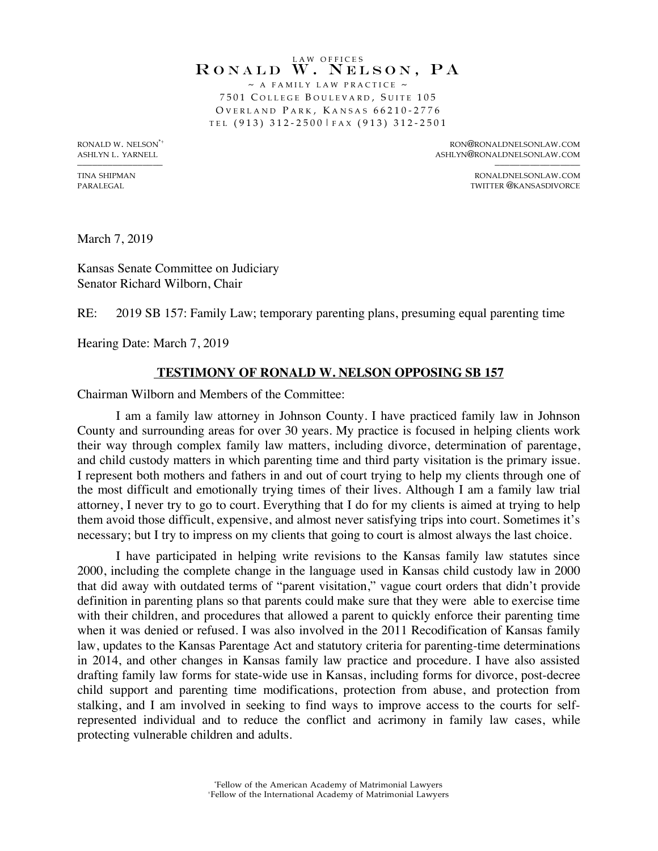## LAW OFFICES RONALD W. NELSON, PA  $\sim$  A FAMILY LAW PRACTICE  $\sim$

7501 C OLLEGE B OULEVARD , S UITE 105 OVERLAND PARK, KANSAS 66210-2776 TEL (913) 312 - 2500| FAX (913) 312 - 2501

RONALD W. NELSON\*+ RON@RONALDNELSONLAW.COM ASHLYN L. YARNELL ASHLYN@RONALDNELSONLAW.COM

––––––––––––––––– ––––––––––––––––– TINA SHIPMAN RONALDNELSONLAW.COM<br>PARALEGAL RONALDNELSONLAW.COM TWITTER @KANSASDIVORCE

March 7, 2019

Kansas Senate Committee on Judiciary Senator Richard Wilborn, Chair

RE: 2019 SB 157: Family Law; temporary parenting plans, presuming equal parenting time

Hearing Date: March 7, 2019

## **TESTIMONY OF RONALD W. NELSON OPPOSING SB 157**

Chairman Wilborn and Members of the Committee:

I am a family law attorney in Johnson County. I have practiced family law in Johnson County and surrounding areas for over 30 years. My practice is focused in helping clients work their way through complex family law matters, including divorce, determination of parentage, and child custody matters in which parenting time and third party visitation is the primary issue. I represent both mothers and fathers in and out of court trying to help my clients through one of the most difficult and emotionally trying times of their lives. Although I am a family law trial attorney, I never try to go to court. Everything that I do for my clients is aimed at trying to help them avoid those difficult, expensive, and almost never satisfying trips into court. Sometimes it's necessary; but I try to impress on my clients that going to court is almost always the last choice.

I have participated in helping write revisions to the Kansas family law statutes since 2000, including the complete change in the language used in Kansas child custody law in 2000 that did away with outdated terms of "parent visitation," vague court orders that didn't provide definition in parenting plans so that parents could make sure that they were able to exercise time with their children, and procedures that allowed a parent to quickly enforce their parenting time when it was denied or refused. I was also involved in the 2011 Recodification of Kansas family law, updates to the Kansas Parentage Act and statutory criteria for parenting-time determinations in 2014, and other changes in Kansas family law practice and procedure. I have also assisted drafting family law forms for state-wide use in Kansas, including forms for divorce, post-decree child support and parenting time modifications, protection from abuse, and protection from stalking, and I am involved in seeking to find ways to improve access to the courts for selfrepresented individual and to reduce the conflict and acrimony in family law cases, while protecting vulnerable children and adults.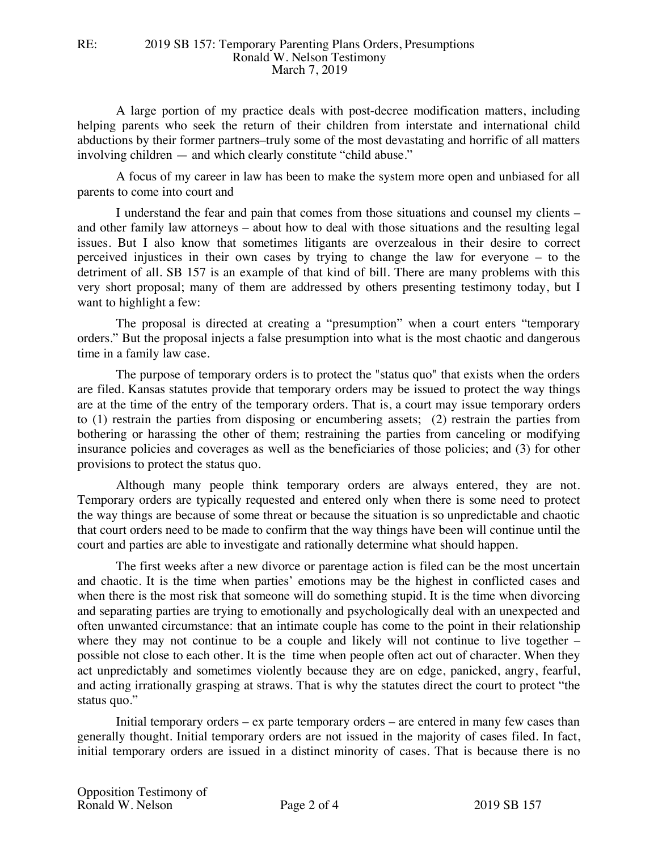A large portion of my practice deals with post-decree modification matters, including helping parents who seek the return of their children from interstate and international child abductions by their former partners–truly some of the most devastating and horrific of all matters involving children — and which clearly constitute "child abuse."

A focus of my career in law has been to make the system more open and unbiased for all parents to come into court and

I understand the fear and pain that comes from those situations and counsel my clients – and other family law attorneys – about how to deal with those situations and the resulting legal issues. But I also know that sometimes litigants are overzealous in their desire to correct perceived injustices in their own cases by trying to change the law for everyone – to the detriment of all. SB 157 is an example of that kind of bill. There are many problems with this very short proposal; many of them are addressed by others presenting testimony today, but I want to highlight a few:

The proposal is directed at creating a "presumption" when a court enters "temporary orders." But the proposal injects a false presumption into what is the most chaotic and dangerous time in a family law case.

The purpose of temporary orders is to protect the "status quo" that exists when the orders are filed. Kansas statutes provide that temporary orders may be issued to protect the way things are at the time of the entry of the temporary orders. That is, a court may issue temporary orders to (1) restrain the parties from disposing or encumbering assets; (2) restrain the parties from bothering or harassing the other of them; restraining the parties from canceling or modifying insurance policies and coverages as well as the beneficiaries of those policies; and (3) for other provisions to protect the status quo.

Although many people think temporary orders are always entered, they are not. Temporary orders are typically requested and entered only when there is some need to protect the way things are because of some threat or because the situation is so unpredictable and chaotic that court orders need to be made to confirm that the way things have been will continue until the court and parties are able to investigate and rationally determine what should happen.

The first weeks after a new divorce or parentage action is filed can be the most uncertain and chaotic. It is the time when parties' emotions may be the highest in conflicted cases and when there is the most risk that someone will do something stupid. It is the time when divorcing and separating parties are trying to emotionally and psychologically deal with an unexpected and often unwanted circumstance: that an intimate couple has come to the point in their relationship where they may not continue to be a couple and likely will not continue to live together – possible not close to each other. It is the time when people often act out of character. When they act unpredictably and sometimes violently because they are on edge, panicked, angry, fearful, and acting irrationally grasping at straws. That is why the statutes direct the court to protect "the status quo."

Initial temporary orders – ex parte temporary orders – are entered in many few cases than generally thought. Initial temporary orders are not issued in the majority of cases filed. In fact, initial temporary orders are issued in a distinct minority of cases. That is because there is no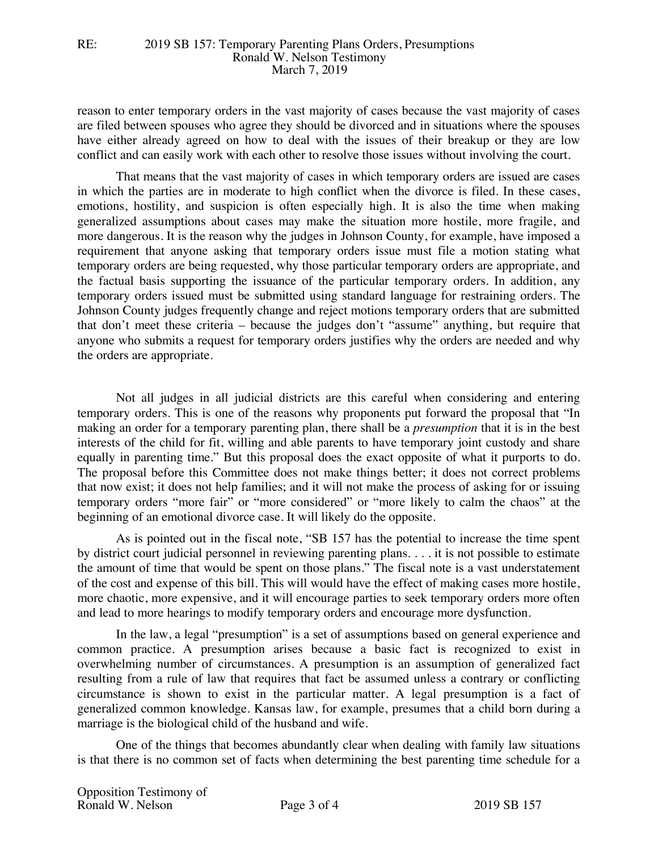reason to enter temporary orders in the vast majority of cases because the vast majority of cases are filed between spouses who agree they should be divorced and in situations where the spouses have either already agreed on how to deal with the issues of their breakup or they are low conflict and can easily work with each other to resolve those issues without involving the court.

That means that the vast majority of cases in which temporary orders are issued are cases in which the parties are in moderate to high conflict when the divorce is filed. In these cases, emotions, hostility, and suspicion is often especially high. It is also the time when making generalized assumptions about cases may make the situation more hostile, more fragile, and more dangerous. It is the reason why the judges in Johnson County, for example, have imposed a requirement that anyone asking that temporary orders issue must file a motion stating what temporary orders are being requested, why those particular temporary orders are appropriate, and the factual basis supporting the issuance of the particular temporary orders. In addition, any temporary orders issued must be submitted using standard language for restraining orders. The Johnson County judges frequently change and reject motions temporary orders that are submitted that don't meet these criteria – because the judges don't "assume" anything, but require that anyone who submits a request for temporary orders justifies why the orders are needed and why the orders are appropriate.

Not all judges in all judicial districts are this careful when considering and entering temporary orders. This is one of the reasons why proponents put forward the proposal that "In making an order for a temporary parenting plan, there shall be a *presumption* that it is in the best interests of the child for fit, willing and able parents to have temporary joint custody and share equally in parenting time." But this proposal does the exact opposite of what it purports to do. The proposal before this Committee does not make things better; it does not correct problems that now exist; it does not help families; and it will not make the process of asking for or issuing temporary orders "more fair" or "more considered" or "more likely to calm the chaos" at the beginning of an emotional divorce case. It will likely do the opposite.

As is pointed out in the fiscal note, "SB 157 has the potential to increase the time spent by district court judicial personnel in reviewing parenting plans. . . . it is not possible to estimate the amount of time that would be spent on those plans." The fiscal note is a vast understatement of the cost and expense of this bill. This will would have the effect of making cases more hostile, more chaotic, more expensive, and it will encourage parties to seek temporary orders more often and lead to more hearings to modify temporary orders and encourage more dysfunction.

In the law, a legal "presumption" is a set of assumptions based on general experience and common practice. A presumption arises because a basic fact is recognized to exist in overwhelming number of circumstances. A presumption is an assumption of generalized fact resulting from a rule of law that requires that fact be assumed unless a contrary or conflicting circumstance is shown to exist in the particular matter. A legal presumption is a fact of generalized common knowledge. Kansas law, for example, presumes that a child born during a marriage is the biological child of the husband and wife.

One of the things that becomes abundantly clear when dealing with family law situations is that there is no common set of facts when determining the best parenting time schedule for a